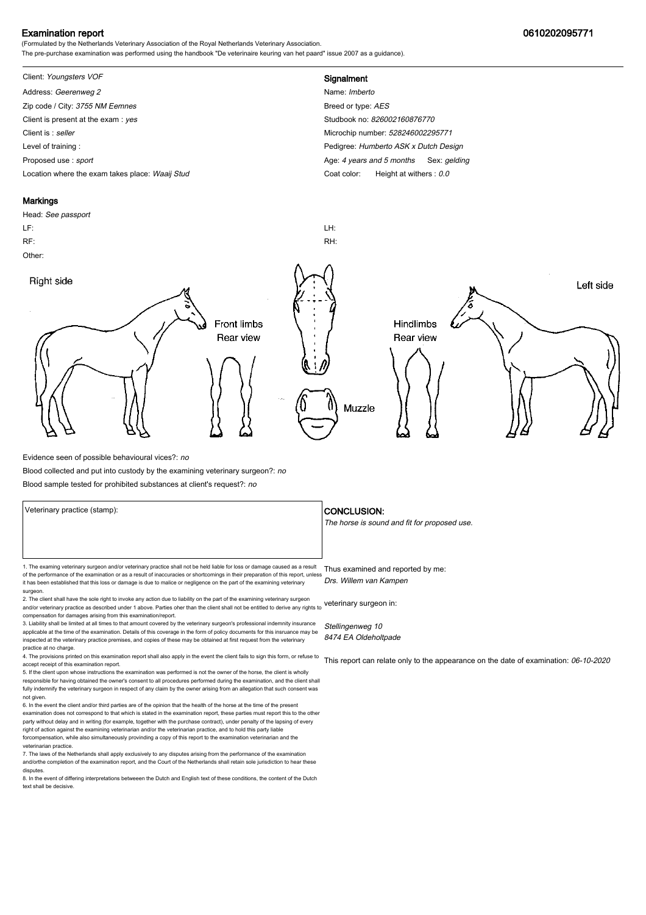## Examination report 0610202095771

(Formulated by the Netherlands Veterinary Association of the Royal Netherlands Veterinary Association. The pre-purchase examination was performed using the handbook "De veterinaire keuring van het paard" issue 2007 as a guidance).

# Client: Youngsters VOF **Signalment**

Address: Geerenweg 2 Name: Imberto Zip code / City: 3755 NM Eemnes and the state of the state and the Breed or type: AES Client is present at the exam : yes Studbook no: 826002160876770 Client is : seller Microchip number: 528246002295771 Level of training : **Pedigree:** Humberto ASK x Dutch Design Proposed use : sport **Age: 4** years and 5 months Sex: gelding Location where the exam takes place: Waaij Stud Coat Color: Height at withers : 0.0

#### Markings

Head: See passport LF: LH: RF: RH: Other: Right side Left side **Front limbs** Hindlimbs Rear view Rear view Muzzle

Evidence seen of possible behavioural vices?: no

Blood collected and put into custody by the examining veterinary surgeon?: no

Blood sample tested for prohibited substances at client's request?: no

1. The examing veterinary surgeon and/or veterinary practice shall not be held liable for loss or damage caused as a result Thus examined and reported by me: of the performance of the examination or as a result of inaccuracies or shortcomings in their preparation of this report, unless it has been established that this loss or damage is due to malice or negligence on the part of the examining veterinary surgeon.

2. The client shall have the sole right to invoke any action due to liability on the part of the examining veterinary surgeon and/or veterinary practice as described under 1 above. Parties oher than the client shall not be entitled to derive any rights to veterinary surgeon in: compensation for damages arising from this examination/report.

3. Liability shall be limited at all times to that amount covered by the veterinary surgeon's professional indemnity insurance applicable at the time of the examination. Details of this coverage in the form of policy documents for this insruance may be inspected at the veterinary practice premises, and copies of these may be obtained at first request from the veterinary practice at no charge.

4. The provisions printed on this examination report shall also apply in the event the client fails to sign this form, or refuse to accept receipt of this examination report.

5. If the client upon whose instructions the examination was performed is not the owner of the horse, the client is wholly responsible for having obtained the owner's consent to all procedures performed during the examination, and the client shall fully indemnify the veterinary surgeon in respect of any claim by the owner arising from an allegation that such consent was not given.

6. In the event the client and/or third parties are of the opinion that the health of the horse at the time of the present examination does not correspond to that which is stated in the examination report, these parties must report this to the other party without delay and in writing (for example, together with the purchase contract), under penalty of the lapsing of every<br>right of action against the examining veterinarian and/or the veterinarian practice, and to hold forcompensation, while also simultaneously provinding a copy of this report to the examination veterinarian and th veterinarian practice.

7. The laws of the Netherlands shall apply exclusively to any disputes arising from the performance of the examination and/orthe completion of the examination report, and the Court of the Netherlands shall retain sole jurisdiction to hear these disputes.

8. In the event of differing interpretations betweeen the Dutch and English text of these conditions, the content of the Dutch text shall be decisive.

#### Veterinary practice (stamp):  $\overline{\phantom{a}}$  CONCLUSION:

The horse is sound and fit for proposed use.

Drs. Willem van Kampen

Stellingenweg 10 8474 EA Oldeholtpade

This report can relate only to the appearance on the date of examination: 06-10-2020